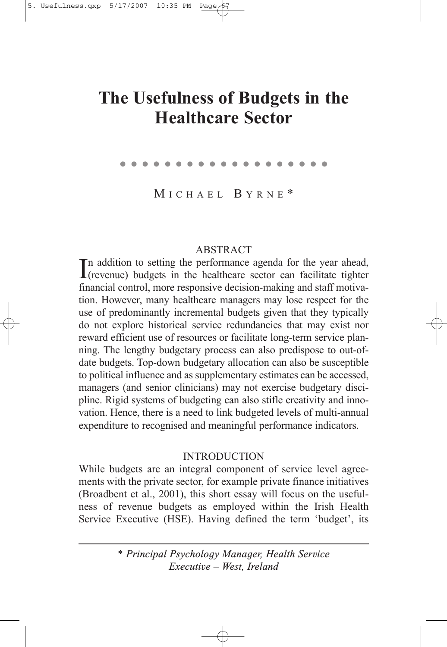# **The Usefulness of Budgets in the Healthcare Sector**

●●●●●●●●●●●●●●●●●●●

M ICHAEL B YRNE \*

# **ABSTRACT**

In addition to setting the performance agenda for the year ahead,<br>(revenue) budgets in the healthcare sector can facilitate tighter  $\mathbf{I}$ (revenue) budgets in the healthcare sector can facilitate tighter financial control, more responsive decision-making and staff motivation. However, many healthcare managers may lose respect for the use of predominantly incremental budgets given that they typically do not explore historical service redundancies that may exist nor reward efficient use of resources or facilitate long-term service planning. The lengthy budgetary process can also predispose to out-ofdate budgets. Top-down budgetary allocation can also be susceptible to political influence and as supplementary estimates can be accessed, managers (and senior clinicians) may not exercise budgetary discipline. Rigid systems of budgeting can also stifle creativity and innovation. Hence, there is a need to link budgeted levels of multi-annual expenditure to recognised and meaningful performance indicators.

# INTRODUCTION

While budgets are an integral component of service level agreements with the private sector, for example private finance initiatives (Broadbent et al., 2001), this short essay will focus on the usefulness of revenue budgets as employed within the Irish Health Service Executive (HSE). Having defined the term 'budget', its

> *\* Principal Psychology Manager, Health Service Executive – West, Ireland*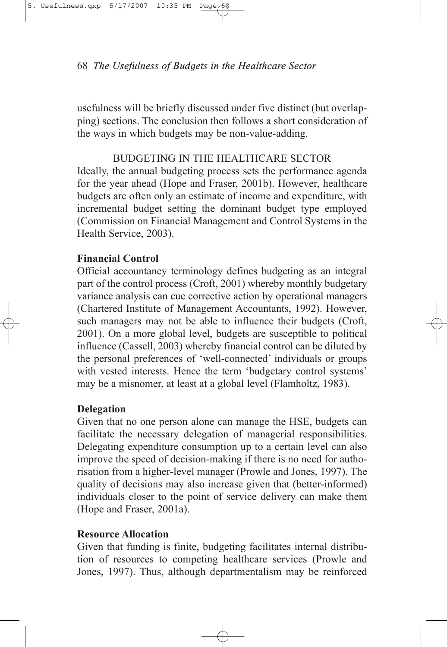68 *The Usefulness of Budgets in the Healthcare Sector*

usefulness will be briefly discussed under five distinct (but overlapping) sections. The conclusion then follows a short consideration of the ways in which budgets may be non-value-adding.

# BUDGETING IN THE HEALTHCARE SECTOR

Ideally, the annual budgeting process sets the performance agenda for the year ahead (Hope and Fraser, 2001b). However, healthcare budgets are often only an estimate of income and expenditure, with incremental budget setting the dominant budget type employed (Commission on Financial Management and Control Systems in the Health Service, 2003).

### **Financial Control**

Official accountancy terminology defines budgeting as an integral part of the control process (Croft, 2001) whereby monthly budgetary variance analysis can cue corrective action by operational managers (Chartered Institute of Management Accountants, 1992). However, such managers may not be able to influence their budgets (Croft, 2001). On a more global level, budgets are susceptible to political influence (Cassell, 2003) whereby financial control can be diluted by the personal preferences of 'well-connected' individuals or groups with vested interests. Hence the term 'budgetary control systems' may be a misnomer, at least at a global level (Flamholtz, 1983).

#### **Delegation**

Given that no one person alone can manage the HSE, budgets can facilitate the necessary delegation of managerial responsibilities. Delegating expenditure consumption up to a certain level can also improve the speed of decision-making if there is no need for authorisation from a higher-level manager (Prowle and Jones, 1997). The quality of decisions may also increase given that (better-informed) individuals closer to the point of service delivery can make them (Hope and Fraser, 2001a).

# **Resource Allocation**

Given that funding is finite, budgeting facilitates internal distribution of resources to competing healthcare services (Prowle and Jones, 1997). Thus, although departmentalism may be reinforced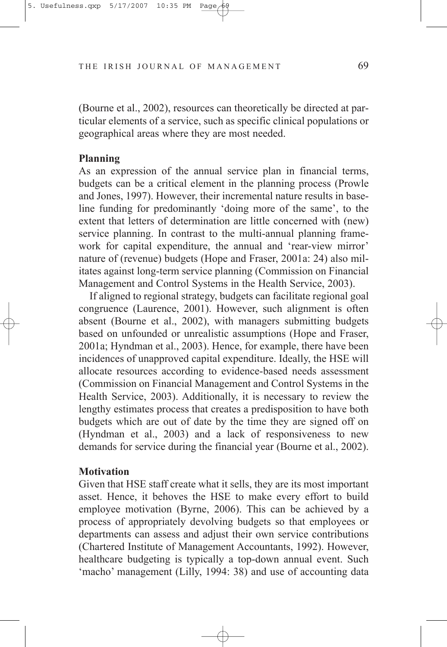THE IRISH JOURNAL OF MANAGEMENT 69

(Bourne et al., 2002), resources can theoretically be directed at particular elements of a service, such as specific clinical populations or geographical areas where they are most needed.

#### **Planning**

As an expression of the annual service plan in financial terms, budgets can be a critical element in the planning process (Prowle and Jones, 1997). However, their incremental nature results in baseline funding for predominantly 'doing more of the same', to the extent that letters of determination are little concerned with (new) service planning. In contrast to the multi-annual planning framework for capital expenditure, the annual and 'rear-view mirror' nature of (revenue) budgets (Hope and Fraser, 2001a: 24) also militates against long-term service planning (Commission on Financial Management and Control Systems in the Health Service, 2003).

If aligned to regional strategy, budgets can facilitate regional goal congruence (Laurence, 2001). However, such alignment is often absent (Bourne et al., 2002), with managers submitting budgets based on unfounded or unrealistic assumptions (Hope and Fraser, 2001a; Hyndman et al., 2003). Hence, for example, there have been incidences of unapproved capital expenditure. Ideally, the HSE will allocate resources according to evidence-based needs assessment (Commission on Financial Management and Control Systems in the Health Service, 2003). Additionally, it is necessary to review the lengthy estimates process that creates a predisposition to have both budgets which are out of date by the time they are signed off on (Hyndman et al., 2003) and a lack of responsiveness to new demands for service during the financial year (Bourne et al., 2002).

#### **Motivation**

Given that HSE staff create what it sells, they are its most important asset. Hence, it behoves the HSE to make every effort to build employee motivation (Byrne, 2006). This can be achieved by a process of appropriately devolving budgets so that employees or departments can assess and adjust their own service contributions (Chartered Institute of Management Accountants, 1992). However, healthcare budgeting is typically a top-down annual event. Such 'macho' management (Lilly, 1994: 38) and use of accounting data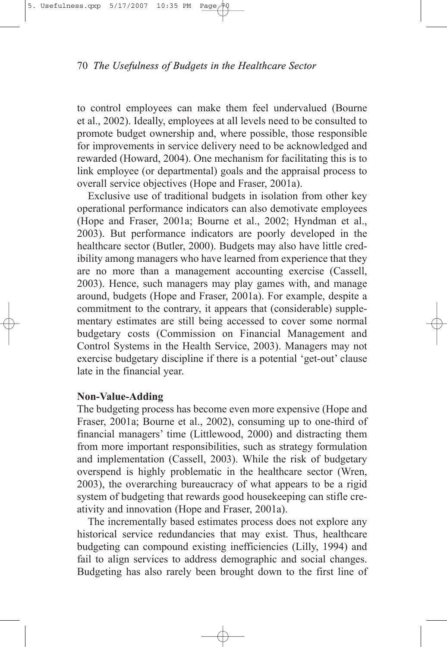

#### 70 *The Usefulness of Budgets in the Healthcare Sector*

to control employees can make them feel undervalued (Bourne et al., 2002). Ideally, employees at all levels need to be consulted to promote budget ownership and, where possible, those responsible for improvements in service delivery need to be acknowledged and rewarded (Howard, 2004). One mechanism for facilitating this is to link employee (or departmental) goals and the appraisal process to overall service objectives (Hope and Fraser, 2001a).

Exclusive use of traditional budgets in isolation from other key operational performance indicators can also demotivate employees (Hope and Fraser, 2001a; Bourne et al., 2002; Hyndman et al., 2003). But performance indicators are poorly developed in the healthcare sector (Butler, 2000). Budgets may also have little credibility among managers who have learned from experience that they are no more than a management accounting exercise (Cassell, 2003). Hence, such managers may play games with, and manage around, budgets (Hope and Fraser, 2001a). For example, despite a commitment to the contrary, it appears that (considerable) supplementary estimates are still being accessed to cover some normal budgetary costs (Commission on Financial Management and Control Systems in the Health Service, 2003). Managers may not exercise budgetary discipline if there is a potential 'get-out' clause late in the financial year.

#### **Non-Value-Adding**

The budgeting process has become even more expensive (Hope and Fraser, 2001a; Bourne et al., 2002), consuming up to one-third of financial managers' time (Littlewood, 2000) and distracting them from more important responsibilities, such as strategy formulation and implementation (Cassell, 2003). While the risk of budgetary overspend is highly problematic in the healthcare sector (Wren, 2003), the overarching bureaucracy of what appears to be a rigid system of budgeting that rewards good housekeeping can stifle creativity and innovation (Hope and Fraser, 2001a).

The incrementally based estimates process does not explore any historical service redundancies that may exist. Thus, healthcare budgeting can compound existing inefficiencies (Lilly, 1994) and fail to align services to address demographic and social changes. Budgeting has also rarely been brought down to the first line of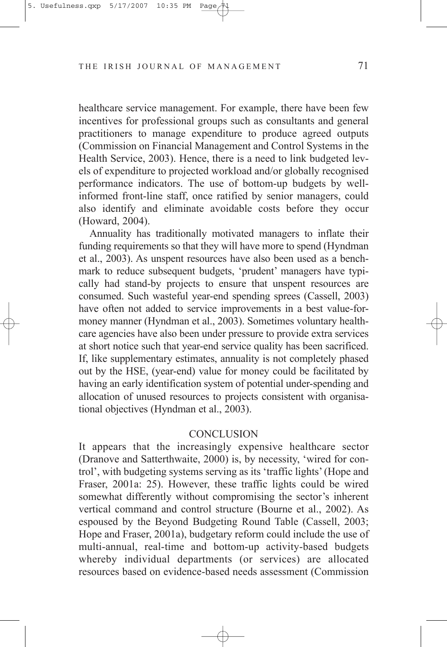#### THE IRISH JOURNAL OF MANAGEMENT 71

healthcare service management. For example, there have been few incentives for professional groups such as consultants and general practitioners to manage expenditure to produce agreed outputs (Commission on Financial Management and Control Systems in the Health Service, 2003). Hence, there is a need to link budgeted levels of expenditure to projected workload and/or globally recognised performance indicators. The use of bottom-up budgets by wellinformed front-line staff, once ratified by senior managers, could also identify and eliminate avoidable costs before they occur (Howard, 2004).

Annuality has traditionally motivated managers to inflate their funding requirements so that they will have more to spend (Hyndman et al., 2003). As unspent resources have also been used as a benchmark to reduce subsequent budgets, 'prudent' managers have typically had stand-by projects to ensure that unspent resources are consumed. Such wasteful year-end spending sprees (Cassell, 2003) have often not added to service improvements in a best value-formoney manner (Hyndman et al., 2003). Sometimes voluntary healthcare agencies have also been under pressure to provide extra services at short notice such that year-end service quality has been sacrificed. If, like supplementary estimates, annuality is not completely phased out by the HSE, (year-end) value for money could be facilitated by having an early identification system of potential under-spending and allocation of unused resources to projects consistent with organisational objectives (Hyndman et al., 2003).

#### **CONCLUSION**

It appears that the increasingly expensive healthcare sector (Dranove and Satterthwaite, 2000) is, by necessity, 'wired for control', with budgeting systems serving as its 'traffic lights' (Hope and Fraser, 2001a: 25). However, these traffic lights could be wired somewhat differently without compromising the sector's inherent vertical command and control structure (Bourne et al., 2002). As espoused by the Beyond Budgeting Round Table (Cassell, 2003; Hope and Fraser, 2001a), budgetary reform could include the use of multi-annual, real-time and bottom-up activity-based budgets whereby individual departments (or services) are allocated resources based on evidence-based needs assessment (Commission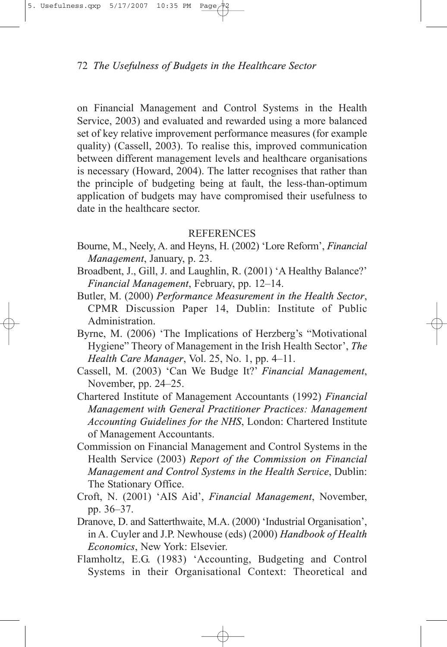# 72 *The Usefulness of Budgets in the Healthcare Sector*

on Financial Management and Control Systems in the Health Service, 2003) and evaluated and rewarded using a more balanced set of key relative improvement performance measures (for example quality) (Cassell, 2003). To realise this, improved communication between different management levels and healthcare organisations is necessary (Howard, 2004). The latter recognises that rather than the principle of budgeting being at fault, the less-than-optimum application of budgets may have compromised their usefulness to date in the healthcare sector.

# REFERENCES

- Bourne, M., Neely, A. and Heyns, H. (2002) 'Lore Reform', *Financial Management*, January, p. 23.
- Broadbent, J., Gill, J. and Laughlin, R. (2001) 'A Healthy Balance?' *Financial Management*, February, pp. 12–14.
- Butler, M. (2000) *Performance Measurement in the Health Sector*, CPMR Discussion Paper 14, Dublin: Institute of Public Administration.
- Byrne, M. (2006) 'The Implications of Herzberg's "Motivational Hygiene" Theory of Management in the Irish Health Sector', *The Health Care Manager*, Vol. 25, No. 1, pp. 4–11.
- Cassell, M. (2003) 'Can We Budge It?' *Financial Management*, November, pp. 24–25.
- Chartered Institute of Management Accountants (1992) *Financial Management with General Practitioner Practices: Management Accounting Guidelines for the NHS*, London: Chartered Institute of Management Accountants.
- Commission on Financial Management and Control Systems in the Health Service (2003) *Report of the Commission on Financial Management and Control Systems in the Health Service*, Dublin: The Stationary Office.
- Croft, N. (2001) 'AIS Aid', *Financial Management*, November, pp. 36–37.
- Dranove, D. and Satterthwaite, M.A. (2000) 'Industrial Organisation', in A. Cuyler and J.P. Newhouse (eds) (2000) *Handbook of Health Economics*, New York: Elsevier.
- Flamholtz, E.G. (1983) 'Accounting, Budgeting and Control Systems in their Organisational Context: Theoretical and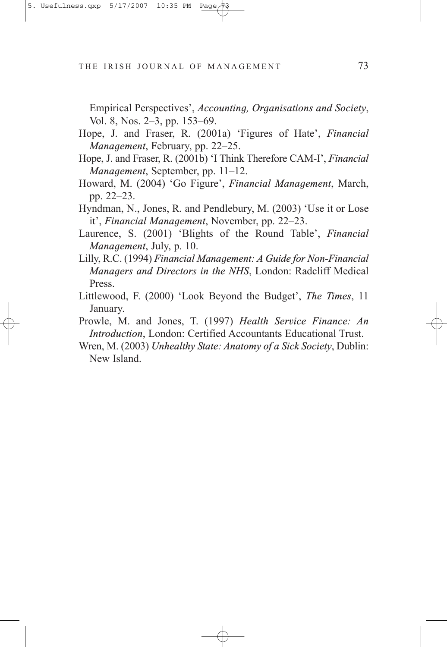THE IRISH JOURNAL OF MANAGEMENT 73

Empirical Perspectives', *Accounting, Organisations and Society*, Vol. 8, Nos. 2–3, pp. 153–69.

- Hope, J. and Fraser, R. (2001a) 'Figures of Hate', *Financial Management*, February, pp. 22–25.
- Hope, J. and Fraser, R. (2001b) 'I Think Therefore CAM-I', *Financial Management*, September, pp. 11–12.
- Howard, M. (2004) 'Go Figure', *Financial Management*, March, pp. 22–23.
- Hyndman, N., Jones, R. and Pendlebury, M. (2003) 'Use it or Lose it', *Financial Management*, November, pp. 22–23.
- Laurence, S. (2001) 'Blights of the Round Table', *Financial Management*, July, p. 10.
- Lilly, R.C. (1994) *Financial Management: A Guide for Non-Financial Managers and Directors in the NHS*, London: Radcliff Medical Press.
- Littlewood, F. (2000) 'Look Beyond the Budget', *The Times*, 11 January.
- Prowle, M. and Jones, T. (1997) *Health Service Finance: An Introduction*, London: Certified Accountants Educational Trust.
- Wren, M. (2003) *Unhealthy State: Anatomy of a Sick Society*, Dublin: New Island.